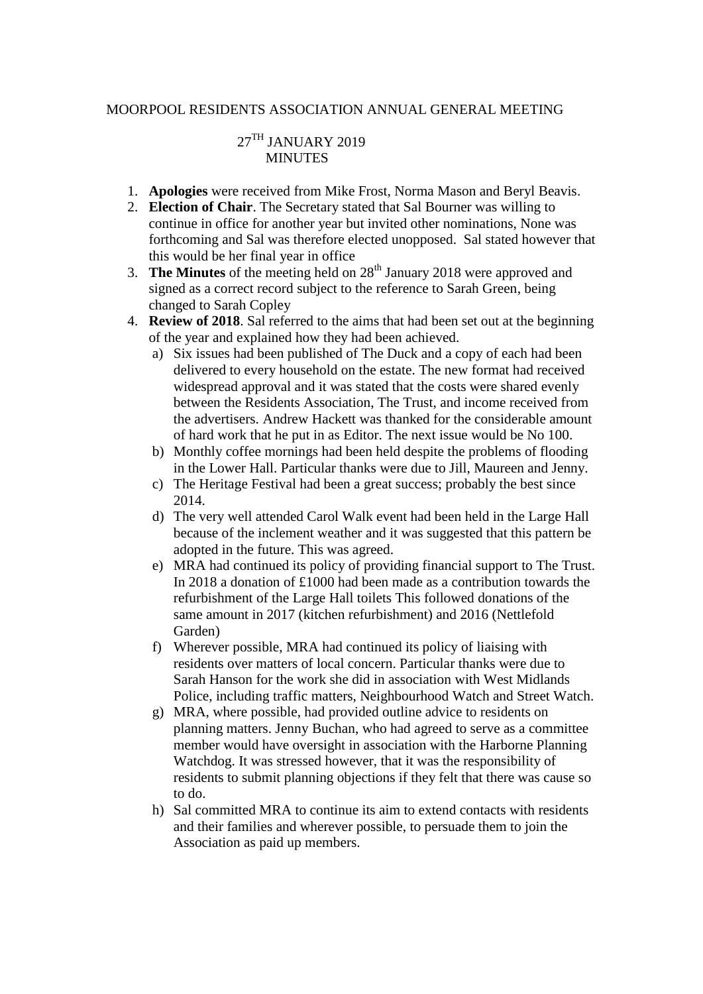#### MOORPOOL RESIDENTS ASSOCIATION ANNUAL GENERAL MEETING

# 27TH JANUARY 2019 **MINUTES**

- 1. **Apologies** were received from Mike Frost, Norma Mason and Beryl Beavis.
- 2. **Election of Chair**. The Secretary stated that Sal Bourner was willing to continue in office for another year but invited other nominations, None was forthcoming and Sal was therefore elected unopposed. Sal stated however that this would be her final year in office
- 3. **The Minutes** of the meeting held on  $28<sup>th</sup>$  January 2018 were approved and signed as a correct record subject to the reference to Sarah Green, being changed to Sarah Copley
- 4. **Review of 2018**. Sal referred to the aims that had been set out at the beginning of the year and explained how they had been achieved.
	- a) Six issues had been published of The Duck and a copy of each had been delivered to every household on the estate. The new format had received widespread approval and it was stated that the costs were shared evenly between the Residents Association, The Trust, and income received from the advertisers. Andrew Hackett was thanked for the considerable amount of hard work that he put in as Editor. The next issue would be No 100.
	- b) Monthly coffee mornings had been held despite the problems of flooding in the Lower Hall. Particular thanks were due to Jill, Maureen and Jenny.
	- c) The Heritage Festival had been a great success; probably the best since 2014.
	- d) The very well attended Carol Walk event had been held in the Large Hall because of the inclement weather and it was suggested that this pattern be adopted in the future. This was agreed.
	- e) MRA had continued its policy of providing financial support to The Trust. In 2018 a donation of £1000 had been made as a contribution towards the refurbishment of the Large Hall toilets This followed donations of the same amount in 2017 (kitchen refurbishment) and 2016 (Nettlefold Garden)
	- f) Wherever possible, MRA had continued its policy of liaising with residents over matters of local concern. Particular thanks were due to Sarah Hanson for the work she did in association with West Midlands Police, including traffic matters, Neighbourhood Watch and Street Watch.
	- g) MRA, where possible, had provided outline advice to residents on planning matters. Jenny Buchan, who had agreed to serve as a committee member would have oversight in association with the Harborne Planning Watchdog. It was stressed however, that it was the responsibility of residents to submit planning objections if they felt that there was cause so to do.
	- h) Sal committed MRA to continue its aim to extend contacts with residents and their families and wherever possible, to persuade them to join the Association as paid up members.